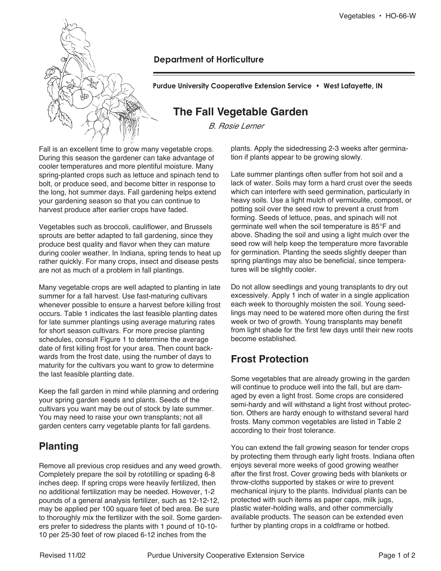

### **Department of Horticulture**

**Purdue University Cooperative Extension Service • West Lafayette, IN**

# **The Fall Vegetable Garden**

B. Rosie Lerner

Fall is an excellent time to grow many vegetable crops. During this season the gardener can take advantage of cooler temperatures and more plentiful moisture. Many spring-planted crops such as lettuce and spinach tend to bolt, or produce seed, and become bitter in response to the long, hot summer days. Fall gardening helps extend your gardening season so that you can continue to harvest produce after earlier crops have faded.

Vegetables such as broccoli, cauliflower, and Brussels sprouts are better adapted to fall gardening, since they produce best quality and flavor when they can mature during cooler weather. In Indiana, spring tends to heat up rather quickly. For many crops, insect and disease pests are not as much of a problem in fall plantings.

Many vegetable crops are well adapted to planting in late summer for a fall harvest. Use fast-maturing cultivars whenever possible to ensure a harvest before killing frost occurs. Table 1 indicates the last feasible planting dates for late summer plantings using average maturing rates for short season cultivars. For more precise planting schedules, consult Figure 1 to determine the average date of first killing frost for your area. Then count backwards from the frost date, using the number of days to maturity for the cultivars you want to grow to determine the last feasible planting date.

Keep the fall garden in mind while planning and ordering your spring garden seeds and plants. Seeds of the cultivars you want may be out of stock by late summer. You may need to raise your own transplants; not all garden centers carry vegetable plants for fall gardens.

## **Planting**

Remove all previous crop residues and any weed growth. Completely prepare the soil by rototilling or spading 6-8 inches deep. If spring crops were heavily fertilized, then no additional fertilization may be needed. However, 1-2 pounds of a general analysis fertilizer, such as 12-12-12, may be applied per 100 square feet of bed area. Be sure to thoroughly mix the fertilizer with the soil. Some gardeners prefer to sidedress the plants with 1 pound of 10-10- 10 per 25-30 feet of row placed 6-12 inches from the

plants. Apply the sidedressing 2-3 weeks after germination if plants appear to be growing slowly.

Late summer plantings often suffer from hot soil and a lack of water. Soils may form a hard crust over the seeds which can interfere with seed germination, particularly in heavy soils. Use a light mulch of vermiculite, compost, or potting soil over the seed row to prevent a crust from forming. Seeds of lettuce, peas, and spinach will not germinate well when the soil temperature is 85°F and above. Shading the soil and using a light mulch over the seed row will help keep the temperature more favorable for germination. Planting the seeds slightly deeper than spring plantings may also be beneficial, since temperatures will be slightly cooler.

Do not allow seedlings and young transplants to dry out excessively. Apply 1 inch of water in a single application each week to thoroughly moisten the soil. Young seedlings may need to be watered more often during the first week or two of growth. Young transplants may benefit from light shade for the first few days until their new roots become established.

# **Frost Protection**

Some vegetables that are already growing in the garden will continue to produce well into the fall, but are damaged by even a light frost. Some crops are considered semi-hardy and will withstand a light frost without protection. Others are hardy enough to withstand several hard frosts. Many common vegetables are listed in Table 2 according to their frost tolerance.

You can extend the fall growing season for tender crops by protecting them through early light frosts. Indiana often enjoys several more weeks of good growing weather after the first frost. Cover growing beds with blankets or throw-cloths supported by stakes or wire to prevent mechanical injury to the plants. Individual plants can be protected with such items as paper caps, milk jugs, plastic water-holding walls, and other commercially available products. The season can be extended even further by planting crops in a coldframe or hotbed.